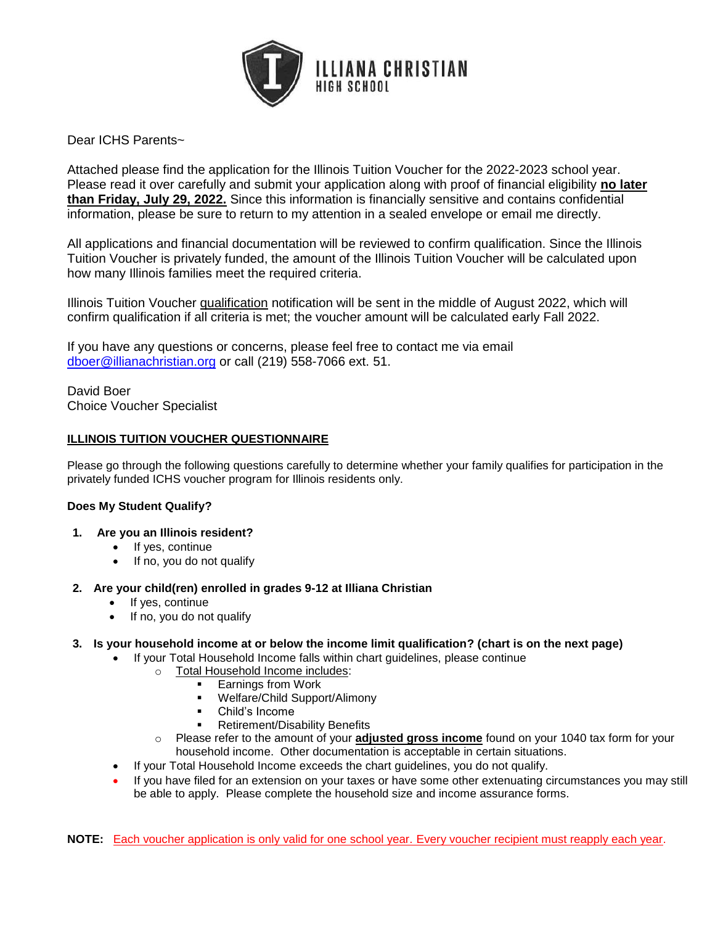

Dear ICHS Parents~

Attached please find the application for the Illinois Tuition Voucher for the 2022-2023 school year. Please read it over carefully and submit your application along with proof of financial eligibility **no later than Friday, July 29, 2022.** Since this information is financially sensitive and contains confidential information, please be sure to return to my attention in a sealed envelope or email me directly.

All applications and financial documentation will be reviewed to confirm qualification. Since the Illinois Tuition Voucher is privately funded, the amount of the Illinois Tuition Voucher will be calculated upon how many Illinois families meet the required criteria.

Illinois Tuition Voucher qualification notification will be sent in the middle of August 2022, which will confirm qualification if all criteria is met; the voucher amount will be calculated early Fall 2022.

If you have any questions or concerns, please feel free to contact me via email [dboer@illianachristian.org](mailto:dboer@illianachristian.org) or call (219) 558-7066 ext. 51.

David Boer Choice Voucher Specialist

### **ILLINOIS TUITION VOUCHER QUESTIONNAIRE**

Please go through the following questions carefully to determine whether your family qualifies for participation in the privately funded ICHS voucher program for Illinois residents only.

### **Does My Student Qualify?**

- **1. Are you an Illinois resident?**
	- If yes, continue
	- If no, you do not qualify
- **2. Are your child(ren) enrolled in grades 9-12 at Illiana Christian**
	- If yes, continue
	- If no, you do not qualify

### **3. Is your household income at or below the income limit qualification? (chart is on the next page)**

- If your Total Household Income falls within chart guidelines, please continue
	- o Total Household Income includes:
		- Earnings from Work
			- Welfare/Child Support/Alimony
		- Child's Income
		- **•** Retirement/Disability Benefits
	- o Please refer to the amount of your **adjusted gross income** found on your 1040 tax form for your household income. Other documentation is acceptable in certain situations.
- If your Total Household Income exceeds the chart guidelines, you do not qualify.
- If you have filed for an extension on your taxes or have some other extenuating circumstances you may still be able to apply. Please complete the household size and income assurance forms.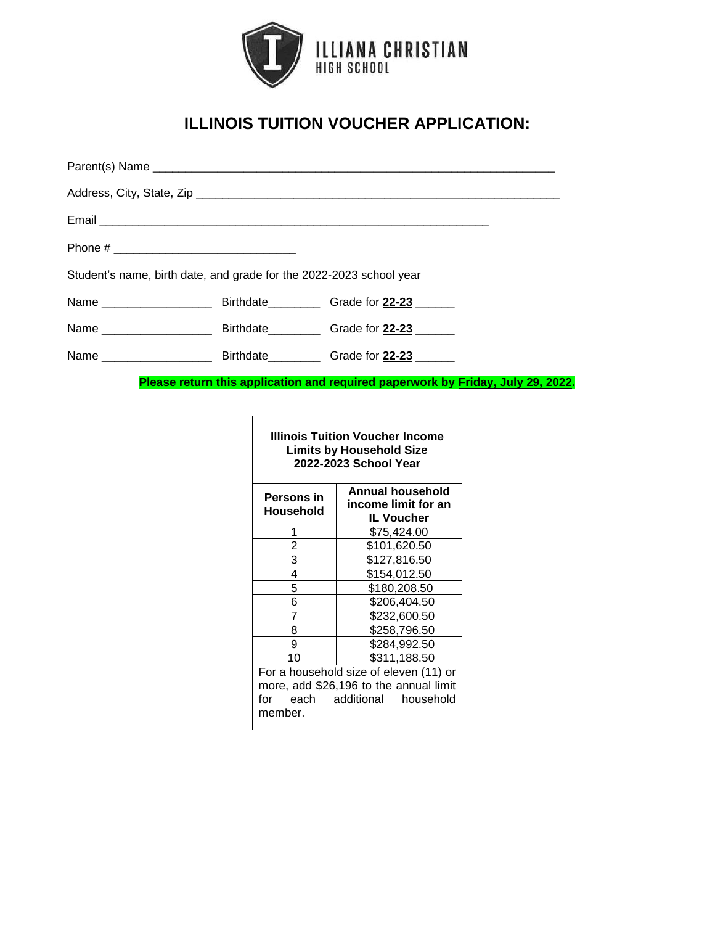

# **ILLINOIS TUITION VOUCHER APPLICATION:**

| Student's name, birth date, and grade for the 2022-2023 school year |  |  |  |  |
|---------------------------------------------------------------------|--|--|--|--|
|                                                                     |  |  |  |  |
|                                                                     |  |  |  |  |
|                                                                     |  |  |  |  |

**Please return this application and required paperwork by Friday, July 29, 2022.**

| <b>Illinois Tuition Voucher Income</b> |  |  |
|----------------------------------------|--|--|
| <b>Limits by Household Size</b>        |  |  |
| 2022-2023 School Year                  |  |  |

| <b>Persons</b> in<br>Household         | Annual household<br>income limit for an |  |
|----------------------------------------|-----------------------------------------|--|
|                                        | <b>IL Voucher</b>                       |  |
| 1                                      | \$75,424.00                             |  |
| 2                                      | \$101,620.50                            |  |
| 3                                      | \$127,816.50                            |  |
| 4                                      | \$154,012.50                            |  |
| 5                                      | \$180,208.50                            |  |
| 6                                      | \$206,404.50                            |  |
| 7                                      | \$232,600.50                            |  |
| 8                                      | \$258,796.50                            |  |
| 9                                      | \$284,992.50                            |  |
| 10                                     | \$311,188.50                            |  |
| For a household size of eleven (11) or |                                         |  |
| more, add \$26,196 to the annual limit |                                         |  |

for each additional household member.